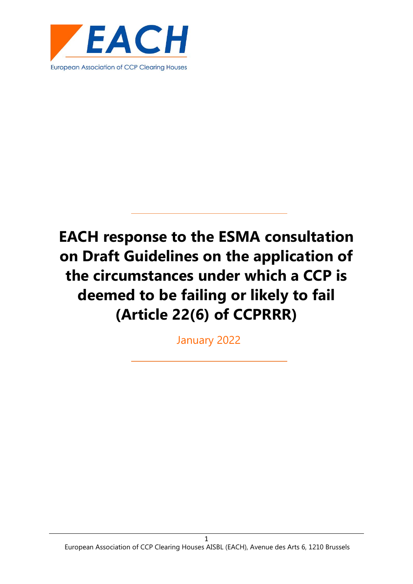

January 2022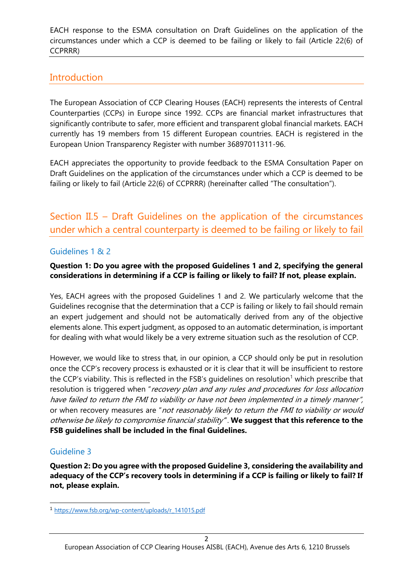## **Introduction**

The European Association of CCP Clearing Houses (EACH) represents the interests of Central Counterparties (CCPs) in Europe since 1992. CCPs are financial market infrastructures that significantly contribute to safer, more efficient and transparent global financial markets. EACH currently has 19 members from 15 different European countries. EACH is registered in the European Union Transparency Register with number 36897011311-96.

EACH appreciates the opportunity to provide feedback to the ESMA Consultation Paper on Draft Guidelines on the application of the circumstances under which a CCP is deemed to be failing or likely to fail (Article 22(6) of CCPRRR) (hereinafter called "The consultation").

Section II.5 – Draft Guidelines on the application of the circumstances under which a central counterparty is deemed to be failing or likely to fail

#### Guidelines 1 & 2

#### **Question 1: Do you agree with the proposed Guidelines 1 and 2, specifying the general considerations in determining if a CCP is failing or likely to fail? If not, please explain.**

Yes, EACH agrees with the proposed Guidelines 1 and 2. We particularly welcome that the Guidelines recognise that the determination that a CCP is failing or likely to fail should remain an expert judgement and should not be automatically derived from any of the objective elements alone. This expert judgment, as opposed to an automatic determination, is important for dealing with what would likely be a very extreme situation such as the resolution of CCP.

However, we would like to stress that, in our opinion, a CCP should only be put in resolution once the CCP's recovery process is exhausted or it is clear that it will be insufficient to restore the CCP's viability. This is reflected in the FSB's guidelines on resolution<sup>1</sup> which prescribe that resolution is triggered when "recovery plan and any rules and procedures for loss allocation have failed to return the FMI to viability or have not been implemented in a timely manner", or when recovery measures are "not reasonably likely to return the FMI to viability or would otherwise be likely to compromise financial stability'". **We suggest that this reference to the FSB guidelines shall be included in the final Guidelines.**

## Guideline 3

**Question 2: Do you agree with the proposed Guideline 3, considering the availability and adequacy of the CCP's recovery tools in determining if a CCP is failing or likely to fail? If not, please explain.**

<sup>1</sup> [https://www.fsb.org/wp-content/uploads/r\\_141015.pdf](https://www.fsb.org/wp-content/uploads/r_141015.pdf)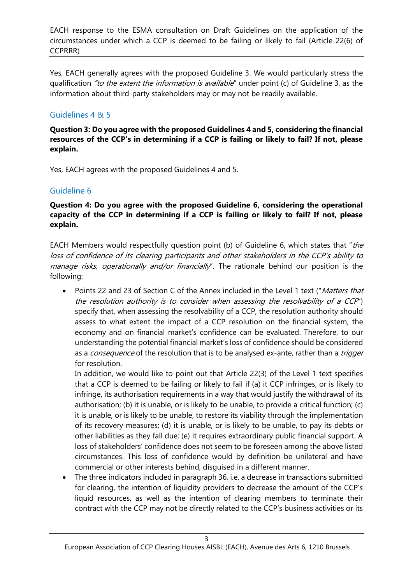Yes, EACH generally agrees with the proposed Guideline 3. We would particularly stress the qualification "to the extent the information is available" under point (c) of Guideline 3, as the information about third-party stakeholders may or may not be readily available.

### Guidelines 4 & 5

**Question 3: Do you agree with the proposed Guidelines 4 and 5, considering the financial resources of the CCP's in determining if a CCP is failing or likely to fail? If not, please explain.**

Yes, EACH agrees with the proposed Guidelines 4 and 5.

#### Guideline 6

#### **Question 4: Do you agree with the proposed Guideline 6, considering the operational capacity of the CCP in determining if a CCP is failing or likely to fail? If not, please explain.**

EACH Members would respectfully question point (b) of Guideline 6, which states that "the loss of confidence of its clearing participants and other stakeholders in the CCP's ability to manage risks, operationally and/or financially". The rationale behind our position is the following:

• Points 22 and 23 of Section C of the Annex included in the Level 1 text ("Matters that the resolution authority is to consider when assessing the resolvability of a CCP") specify that, when assessing the resolvability of a CCP, the resolution authority should assess to what extent the impact of a CCP resolution on the financial system, the economy and on financial market's confidence can be evaluated. Therefore, to our understanding the potential financial market's loss of confidence should be considered as a *consequence* of the resolution that is to be analysed ex-ante, rather than a *trigger* for resolution.

In addition, we would like to point out that Article 22(3) of the Level 1 text specifies that a CCP is deemed to be failing or likely to fail if (a) it CCP infringes, or is likely to infringe, its authorisation requirements in a way that would justify the withdrawal of its authorisation; (b) it is unable, or is likely to be unable, to provide a critical function; (c) it is unable, or is likely to be unable, to restore its viability through the implementation of its recovery measures; (d) it is unable, or is likely to be unable, to pay its debts or other liabilities as they fall due; (e) it requires extraordinary public financial support. A loss of stakeholders' confidence does not seem to be foreseen among the above listed circumstances. This loss of confidence would by definition be unilateral and have commercial or other interests behind, disguised in a different manner.

• The three indicators included in paragraph 36, i.e. a decrease in transactions submitted for clearing, the intention of liquidity providers to decrease the amount of the CCP's liquid resources, as well as the intention of clearing members to terminate their contract with the CCP may not be directly related to the CCP's business activities or its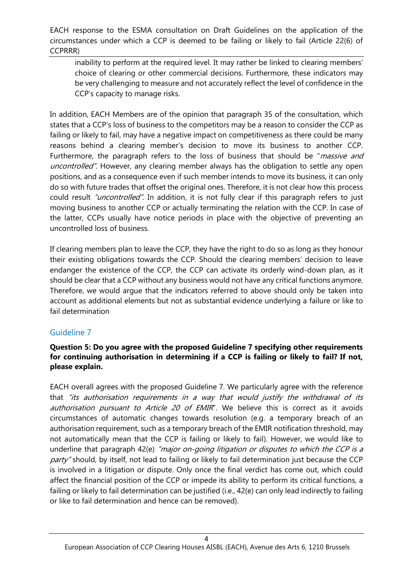inability to perform at the required level. It may rather be linked to clearing members' choice of clearing or other commercial decisions. Furthermore, these indicators may be very challenging to measure and not accurately reflect the level of confidence in the CCP's capacity to manage risks.

In addition, EACH Members are of the opinion that paragraph 35 of the consultation, which states that a CCP's loss of business to the competitors may be a reason to consider the CCP as failing or likely to fail, may have a negative impact on competitiveness as there could be many reasons behind a clearing member's decision to move its business to another CCP. Furthermore, the paragraph refers to the loss of business that should be "*massive and* uncontrolled". However, any clearing member always has the obligation to settle any open positions, and as a consequence even if such member intends to move its business, it can only do so with future trades that offset the original ones. Therefore, it is not clear how this process could result "uncontrolled". In addition, it is not fully clear if this paragraph refers to just moving business to another CCP or actually terminating the relation with the CCP. In case of the latter, CCPs usually have notice periods in place with the objective of preventing an uncontrolled loss of business.

If clearing members plan to leave the CCP, they have the right to do so as long as they honour their existing obligations towards the CCP. Should the clearing members' decision to leave endanger the existence of the CCP, the CCP can activate its orderly wind-down plan, as it should be clear that a CCP without any business would not have any critical functions anymore. Therefore, we would argue that the indicators referred to above should only be taken into account as additional elements but not as substantial evidence underlying a failure or like to fail determination

## Guideline 7

#### **Question 5: Do you agree with the proposed Guideline 7 specifying other requirements for continuing authorisation in determining if a CCP is failing or likely to fail? If not, please explain.**

EACH overall agrees with the proposed Guideline 7. We particularly agree with the reference that "its authorisation requirements in a way that would justify the withdrawal of its authorisation pursuant to Article 20 of EMIR'. We believe this is correct as it avoids circumstances of automatic changes towards resolution (e.g. a temporary breach of an authorisation requirement, such as a temporary breach of the EMIR notification threshold, may not automatically mean that the CCP is failing or likely to fail). However, we would like to underline that paragraph 42(e) "major on-going litigation or disputes to which the CCP is a party" should, by itself, not lead to failing or likely to fail determination just because the CCP is involved in a litigation or dispute. Only once the final verdict has come out, which could affect the financial position of the CCP or impede its ability to perform its critical functions, a failing or likely to fail determination can be justified (i.e., 42(e) can only lead indirectly to failing or like to fail determination and hence can be removed).